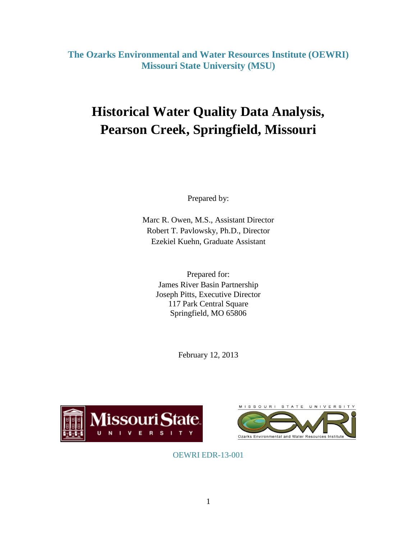**The Ozarks Environmental and Water Resources Institute (OEWRI) Missouri State University (MSU)**

# **Historical Water Quality Data Analysis, Pearson Creek, Springfield, Missouri**

Prepared by:

Marc R. Owen, M.S., Assistant Director Robert T. Pavlowsky, Ph.D., Director Ezekiel Kuehn, Graduate Assistant

Prepared for: James River Basin Partnership Joseph Pitts, Executive Director 117 Park Central Square Springfield, MO 65806

February 12, 2013





OEWRI EDR-13-001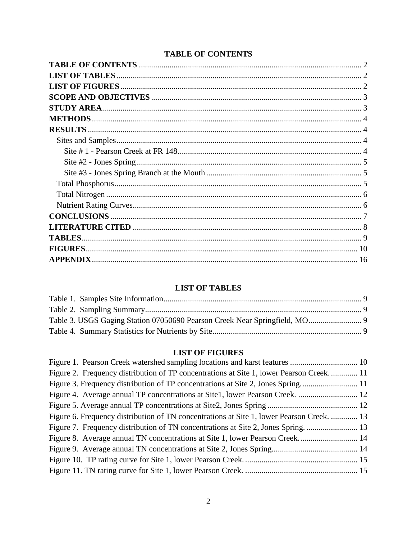# **TABLE OF CONTENTS**

<span id="page-1-0"></span>

| <b>TABLES.</b>  |  |
|-----------------|--|
| <b>FIGURES</b>  |  |
| <b>APPENDIX</b> |  |
|                 |  |

# **LIST OF TABLES**

<span id="page-1-1"></span>

## **LIST OF FIGURES**

<span id="page-1-3"></span><span id="page-1-2"></span>

| Figure 1. Pearson Creek watershed sampling locations and karst features  10               |  |
|-------------------------------------------------------------------------------------------|--|
| Figure 2. Frequency distribution of TP concentrations at Site 1, lower Pearson Creek 11   |  |
| Figure 3. Frequency distribution of TP concentrations at Site 2, Jones Spring 11          |  |
| Figure 4. Average annual TP concentrations at Site1, lower Pearson Creek.  12             |  |
|                                                                                           |  |
| Figure 6. Frequency distribution of TN concentrations at Site 1, lower Pearson Creek.  13 |  |
| Figure 7. Frequency distribution of TN concentrations at Site 2, Jones Spring.            |  |
| Figure 8. Average annual TN concentrations at Site 1, lower Pearson Creek 14              |  |
|                                                                                           |  |
|                                                                                           |  |
|                                                                                           |  |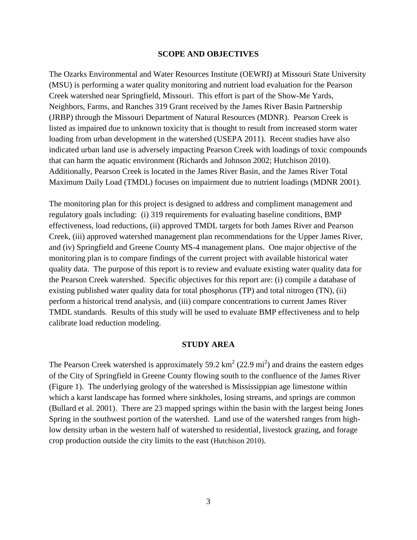#### **SCOPE AND OBJECTIVES**

The Ozarks Environmental and Water Resources Institute (OEWRI) at Missouri State University (MSU) is performing a water quality monitoring and nutrient load evaluation for the Pearson Creek watershed near Springfield, Missouri. This effort is part of the Show-Me Yards, Neighbors, Farms, and Ranches 319 Grant received by the James River Basin Partnership (JRBP) through the Missouri Department of Natural Resources (MDNR). Pearson Creek is listed as impaired due to unknown toxicity that is thought to result from increased storm water loading from urban development in the watershed (USEPA 2011). Recent studies have also indicated urban land use is adversely impacting Pearson Creek with loadings of toxic compounds that can harm the aquatic environment (Richards and Johnson 2002; Hutchison 2010). Additionally, Pearson Creek is located in the James River Basin, and the James River Total Maximum Daily Load (TMDL) focuses on impairment due to nutrient loadings (MDNR 2001).

The monitoring plan for this project is designed to address and compliment management and regulatory goals including: (i) 319 requirements for evaluating baseline conditions, BMP effectiveness, load reductions, (ii) approved TMDL targets for both James River and Pearson Creek, (iii) approved watershed management plan recommendations for the Upper James River, and (iv) Springfield and Greene County MS-4 management plans. One major objective of the monitoring plan is to compare findings of the current project with available historical water quality data. The purpose of this report is to review and evaluate existing water quality data for the Pearson Creek watershed. Specific objectives for this report are: (i) compile a database of existing published water quality data for total phosphorus (TP) and total nitrogen (TN), (ii) perform a historical trend analysis, and (iii) compare concentrations to current James River TMDL standards. Results of this study will be used to evaluate BMP effectiveness and to help calibrate load reduction modeling.

#### **STUDY AREA**

<span id="page-2-1"></span><span id="page-2-0"></span>The Pearson Creek watershed is approximately 59.2  $\text{km}^2$  (22.9 mi<sup>2</sup>) and drains the eastern edges of the City of Springfield in Greene County flowing south to the confluence of the James River (Figure 1). The underlying geology of the watershed is Mississippian age limestone within which a karst landscape has formed where sinkholes, losing streams, and springs are common (Bullard et al. 2001). There are 23 mapped springs within the basin with the largest being Jones Spring in the southwest portion of the watershed. Land use of the watershed ranges from highlow density urban in the western half of watershed to residential, livestock grazing, and forage crop production outside the city limits to the east (Hutchison 2010).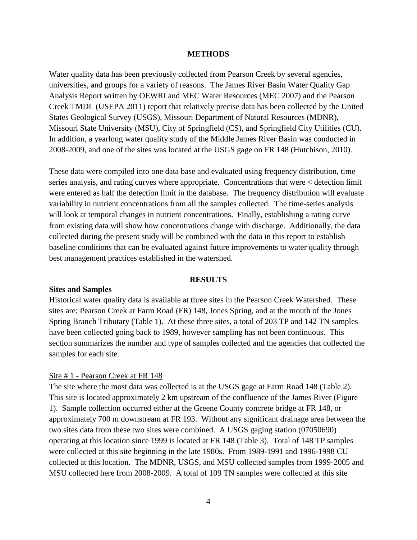#### **METHODS**

Water quality data has been previously collected from Pearson Creek by several agencies, universities, and groups for a variety of reasons. The James River Basin Water Quality Gap Analysis Report written by OEWRI and MEC Water Resources (MEC 2007) and the Pearson Creek TMDL (USEPA 2011) report that relatively precise data has been collected by the United States Geological Survey (USGS), Missouri Department of Natural Resources (MDNR), Missouri State University (MSU), City of Springfield (CS), and Springfield City Utilities (CU). In addition, a yearlong water quality study of the Middle James River Basin was conducted in 2008-2009, and one of the sites was located at the USGS gage on FR 148 (Hutchison, 2010).

These data were compiled into one data base and evaluated using frequency distribution, time series analysis, and rating curves where appropriate. Concentrations that were < detection limit were entered as half the detection limit in the database. The frequency distribution will evaluate variability in nutrient concentrations from all the samples collected. The time-series analysis will look at temporal changes in nutrient concentrations. Finally, establishing a rating curve from existing data will show how concentrations change with discharge. Additionally, the data collected during the present study will be combined with the data in this report to establish baseline conditions that can be evaluated against future improvements to water quality through best management practices established in the watershed.

#### **RESULTS**

#### <span id="page-3-1"></span><span id="page-3-0"></span>**Sites and Samples**

Historical water quality data is available at three sites in the Pearson Creek Watershed. These sites are; Pearson Creek at Farm Road (FR) 148, Jones Spring, and at the mouth of the Jones Spring Branch Tributary (Table 1). At these three sites, a total of 203 TP and 142 TN samples have been collected going back to 1989, however sampling has not been continuous. This section summarizes the number and type of samples collected and the agencies that collected the samples for each site.

#### <span id="page-3-2"></span>Site # 1 - Pearson Creek at FR 148

The site where the most data was collected is at the USGS gage at Farm Road 148 (Table 2). This site is located approximately 2 km upstream of the confluence of the James River (Figure 1). Sample collection occurred either at the Greene County concrete bridge at FR 148, or approximately 700 m downstream at FR 193. Without any significant drainage area between the two sites data from these two sites were combined. A USGS gaging station (07050690) operating at this location since 1999 is located at FR 148 (Table 3). Total of 148 TP samples were collected at this site beginning in the late 1980s. From 1989-1991 and 1996-1998 CU collected at this location. The MDNR, USGS, and MSU collected samples from 1999-2005 and MSU collected here from 2008-2009. A total of 109 TN samples were collected at this site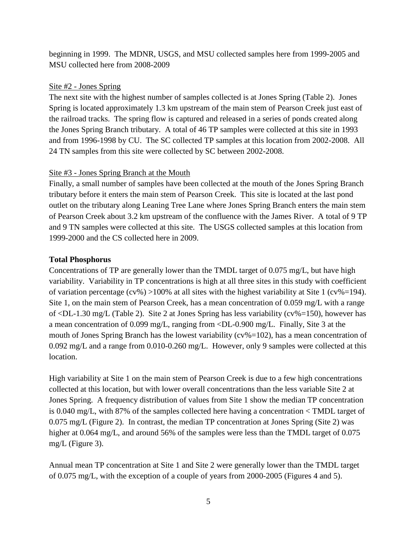beginning in 1999. The MDNR, USGS, and MSU collected samples here from 1999-2005 and MSU collected here from 2008-2009

## <span id="page-4-0"></span>Site #2 - Jones Spring

The next site with the highest number of samples collected is at Jones Spring (Table 2). Jones Spring is located approximately 1.3 km upstream of the main stem of Pearson Creek just east of the railroad tracks. The spring flow is captured and released in a series of ponds created along the Jones Spring Branch tributary. A total of 46 TP samples were collected at this site in 1993 and from 1996-1998 by CU. The SC collected TP samples at this location from 2002-2008. All 24 TN samples from this site were collected by SC between 2002-2008.

# <span id="page-4-1"></span>Site #3 - Jones Spring Branch at the Mouth

Finally, a small number of samples have been collected at the mouth of the Jones Spring Branch tributary before it enters the main stem of Pearson Creek. This site is located at the last pond outlet on the tributary along Leaning Tree Lane where Jones Spring Branch enters the main stem of Pearson Creek about 3.2 km upstream of the confluence with the James River. A total of 9 TP and 9 TN samples were collected at this site. The USGS collected samples at this location from 1999-2000 and the CS collected here in 2009.

## <span id="page-4-2"></span>**Total Phosphorus**

Concentrations of TP are generally lower than the TMDL target of 0.075 mg/L, but have high variability. Variability in TP concentrations is high at all three sites in this study with coefficient of variation percentage  $(cv\%) > 100\%$  at all sites with the highest variability at Site 1  $(cv\% = 194)$ . Site 1, on the main stem of Pearson Creek, has a mean concentration of 0.059 mg/L with a range of <DL-1.30 mg/L (Table 2). Site 2 at Jones Spring has less variability (cv%=150), however has a mean concentration of 0.099 mg/L, ranging from <DL-0.900 mg/L. Finally, Site 3 at the mouth of Jones Spring Branch has the lowest variability ( $cv\% = 102$ ), has a mean concentration of 0.092 mg/L and a range from 0.010-0.260 mg/L. However, only 9 samples were collected at this location.

High variability at Site 1 on the main stem of Pearson Creek is due to a few high concentrations collected at this location, but with lower overall concentrations than the less variable Site 2 at Jones Spring. A frequency distribution of values from Site 1 show the median TP concentration is 0.040 mg/L, with 87% of the samples collected here having a concentration < TMDL target of 0.075 mg/L (Figure 2). In contrast, the median TP concentration at Jones Spring (Site 2) was higher at 0.064 mg/L, and around 56% of the samples were less than the TMDL target of 0.075 mg/L (Figure 3).

Annual mean TP concentration at Site 1 and Site 2 were generally lower than the TMDL target of 0.075 mg/L, with the exception of a couple of years from 2000-2005 (Figures 4 and 5).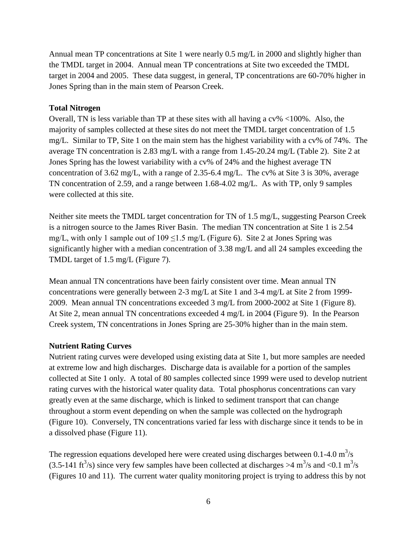Annual mean TP concentrations at Site 1 were nearly 0.5 mg/L in 2000 and slightly higher than the TMDL target in 2004. Annual mean TP concentrations at Site two exceeded the TMDL target in 2004 and 2005. These data suggest, in general, TP concentrations are 60-70% higher in Jones Spring than in the main stem of Pearson Creek.

#### <span id="page-5-0"></span>**Total Nitrogen**

Overall, TN is less variable than TP at these sites with all having a cv% <100%. Also, the majority of samples collected at these sites do not meet the TMDL target concentration of 1.5 mg/L. Similar to TP, Site 1 on the main stem has the highest variability with a cv% of 74%. The average TN concentration is 2.83 mg/L with a range from 1.45-20.24 mg/L (Table 2). Site 2 at Jones Spring has the lowest variability with a cv% of 24% and the highest average TN concentration of 3.62 mg/L, with a range of 2.35-6.4 mg/L. The cv% at Site 3 is 30%, average TN concentration of 2.59, and a range between 1.68-4.02 mg/L. As with TP, only 9 samples were collected at this site.

Neither site meets the TMDL target concentration for TN of 1.5 mg/L, suggesting Pearson Creek is a nitrogen source to the James River Basin. The median TN concentration at Site 1 is 2.54 mg/L, with only 1 sample out of  $109 \le 1.5$  mg/L (Figure 6). Site 2 at Jones Spring was significantly higher with a median concentration of 3.38 mg/L and all 24 samples exceeding the TMDL target of 1.5 mg/L (Figure 7).

Mean annual TN concentrations have been fairly consistent over time. Mean annual TN concentrations were generally between 2-3 mg/L at Site 1 and 3-4 mg/L at Site 2 from 1999- 2009. Mean annual TN concentrations exceeded 3 mg/L from 2000-2002 at Site 1 (Figure 8). At Site 2, mean annual TN concentrations exceeded 4 mg/L in 2004 (Figure 9). In the Pearson Creek system, TN concentrations in Jones Spring are 25-30% higher than in the main stem.

## <span id="page-5-1"></span>**Nutrient Rating Curves**

Nutrient rating curves were developed using existing data at Site 1, but more samples are needed at extreme low and high discharges. Discharge data is available for a portion of the samples collected at Site 1 only. A total of 80 samples collected since 1999 were used to develop nutrient rating curves with the historical water quality data. Total phosphorus concentrations can vary greatly even at the same discharge, which is linked to sediment transport that can change throughout a storm event depending on when the sample was collected on the hydrograph (Figure 10). Conversely, TN concentrations varied far less with discharge since it tends to be in a dissolved phase (Figure 11).

The regression equations developed here were created using discharges between 0.1-4.0  $m^3/s$ (3.5-141 ft<sup>3</sup>/s) since very few samples have been collected at discharges  $>4$  m<sup>3</sup>/s and <0.1 m<sup>3</sup>/s (Figures 10 and 11). The current water quality monitoring project is trying to address this by not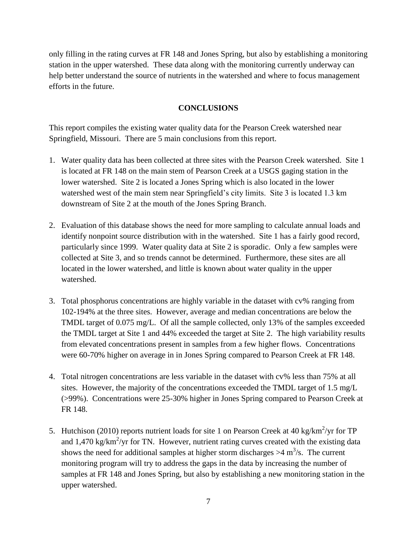only filling in the rating curves at FR 148 and Jones Spring, but also by establishing a monitoring station in the upper watershed. These data along with the monitoring currently underway can help better understand the source of nutrients in the watershed and where to focus management efforts in the future.

## **CONCLUSIONS**

<span id="page-6-0"></span>This report compiles the existing water quality data for the Pearson Creek watershed near Springfield, Missouri. There are 5 main conclusions from this report.

- 1. Water quality data has been collected at three sites with the Pearson Creek watershed. Site 1 is located at FR 148 on the main stem of Pearson Creek at a USGS gaging station in the lower watershed. Site 2 is located a Jones Spring which is also located in the lower watershed west of the main stem near Springfield's city limits. Site 3 is located 1.3 km downstream of Site 2 at the mouth of the Jones Spring Branch.
- 2. Evaluation of this database shows the need for more sampling to calculate annual loads and identify nonpoint source distribution with in the watershed. Site 1 has a fairly good record, particularly since 1999. Water quality data at Site 2 is sporadic. Only a few samples were collected at Site 3, and so trends cannot be determined. Furthermore, these sites are all located in the lower watershed, and little is known about water quality in the upper watershed.
- 3. Total phosphorus concentrations are highly variable in the dataset with cv% ranging from 102-194% at the three sites. However, average and median concentrations are below the TMDL target of 0.075 mg/L. Of all the sample collected, only 13% of the samples exceeded the TMDL target at Site 1 and 44% exceeded the target at Site 2. The high variability results from elevated concentrations present in samples from a few higher flows. Concentrations were 60-70% higher on average in in Jones Spring compared to Pearson Creek at FR 148.
- 4. Total nitrogen concentrations are less variable in the dataset with cv% less than 75% at all sites. However, the majority of the concentrations exceeded the TMDL target of 1.5 mg/L (>99%). Concentrations were 25-30% higher in Jones Spring compared to Pearson Creek at FR 148.
- 5. Hutchison (2010) reports nutrient loads for site 1 on Pearson Creek at 40 kg/km<sup>2</sup>/yr for TP and  $1,470 \text{ kg/km}^2/\text{yr}$  for TN. However, nutrient rating curves created with the existing data shows the need for additional samples at higher storm discharges  $>4$  m<sup>3</sup>/s. The current monitoring program will try to address the gaps in the data by increasing the number of samples at FR 148 and Jones Spring, but also by establishing a new monitoring station in the upper watershed.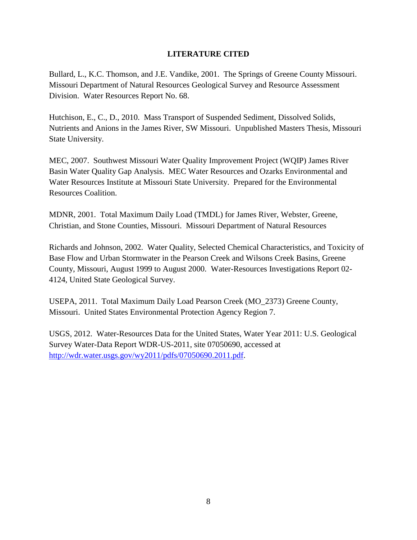## **LITERATURE CITED**

<span id="page-7-0"></span>Bullard, L., K.C. Thomson, and J.E. Vandike, 2001. The Springs of Greene County Missouri. Missouri Department of Natural Resources Geological Survey and Resource Assessment Division. Water Resources Report No. 68.

Hutchison, E., C., D., 2010. Mass Transport of Suspended Sediment, Dissolved Solids, Nutrients and Anions in the James River, SW Missouri. Unpublished Masters Thesis, Missouri State University.

MEC, 2007. Southwest Missouri Water Quality Improvement Project (WQIP) James River Basin Water Quality Gap Analysis. MEC Water Resources and Ozarks Environmental and Water Resources Institute at Missouri State University. Prepared for the Environmental Resources Coalition.

MDNR, 2001. Total Maximum Daily Load (TMDL) for James River, Webster, Greene, Christian, and Stone Counties, Missouri. Missouri Department of Natural Resources

Richards and Johnson, 2002. Water Quality, Selected Chemical Characteristics, and Toxicity of Base Flow and Urban Stormwater in the Pearson Creek and Wilsons Creek Basins, Greene County, Missouri, August 1999 to August 2000. Water-Resources Investigations Report 02- 4124, United State Geological Survey.

USEPA, 2011. Total Maximum Daily Load Pearson Creek (MO\_2373) Greene County, Missouri. United States Environmental Protection Agency Region 7.

USGS, 2012. Water-Resources Data for the United States, Water Year 2011: U.S. Geological Survey Water-Data Report WDR-US-2011, site 07050690, accessed at [http://wdr.water.usgs.gov/wy2011/pdfs/07050690.2011.pdf.](http://wdr.water.usgs.gov/wy2011/pdfs/07050690.2011.pdf)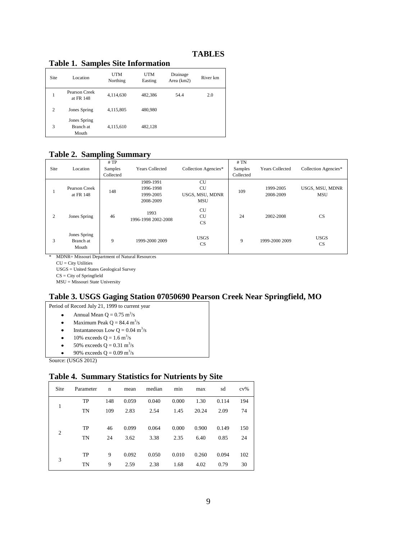## **TABLES**

| Site | Location                           | <b>UTM</b><br>Northing | UTM<br>Easting | Drainage<br>Area (km2) | River km |
|------|------------------------------------|------------------------|----------------|------------------------|----------|
| 1    | Pearson Creek<br>at FR 148         | 4,114,630              | 482,386        | 54.4                   | 2.0      |
| 2    | Jones Spring                       | 4,115,805              | 480,980        |                        |          |
| 3    | Jones Spring<br>Branch at<br>Mouth | 4,115,610              | 482,128        |                        |          |

#### <span id="page-8-1"></span><span id="page-8-0"></span>**Table 1. Samples Site Information**

### <span id="page-8-2"></span>**Table 2. Sampling Summary**

| Site | Location                           | #TP<br>Samples<br>Collected | <b>Years Collected</b>                           | Collection Agencies*                                    | #TN<br>Samples<br>Collected | <b>Years Collected</b> | Collection Agencies*          |
|------|------------------------------------|-----------------------------|--------------------------------------------------|---------------------------------------------------------|-----------------------------|------------------------|-------------------------------|
|      | Pearson Creek<br>at FR 148         | 148                         | 1989-1991<br>1996-1998<br>1999-2005<br>2008-2009 | <b>CU</b><br><b>CU</b><br>USGS, MSU, MDNR<br><b>MSU</b> | 109                         | 1999-2005<br>2008-2009 | USGS, MSU, MDNR<br><b>MSU</b> |
| 2    | Jones Spring                       | 46                          | 1993<br>1996-1998 2002-2008                      | <b>CU</b><br><b>CU</b><br><b>CS</b>                     | 24                          | 2002-2008              | <b>CS</b>                     |
| 3    | Jones Spring<br>Branch at<br>Mouth | 9                           | 1999-2000 2009                                   | <b>USGS</b><br><b>CS</b>                                | 9                           | 1999-2000 2009         | <b>USGS</b><br><b>CS</b>      |

\* MDNR= Missouri Department of Natural Resources

 $\mathbf{CU}=\mathbf{City}$  Utilities USGS = United States Geological Survey

CS = City of Springfield

MSU = Missouri State University

# <span id="page-8-3"></span>**Table 3. USGS Gaging Station 07050690 Pearson Creek Near Springfield, MO**

Period of Record July 21, 1999 to current year

- $\bullet$ Annual Mean  $Q = 0.75$  m<sup>3</sup>/s
- $\bullet$ Maximum Peak  $Q = 84.4$  m<sup>3</sup>/s
- Instantaneous Low  $Q = 0.04$  m<sup>3</sup>/s  $\bullet$
- 10% exceeds  $Q = 1.6 \text{ m}^3/\text{s}$  $\bullet$
- 50% exceeds  $Q = 0.31 \text{ m}^3\text{/s}$  $\bullet$
- $\bullet$ 90% exceeds  $Q = 0.09$  m<sup>3</sup>/s

Source: (USGS 2012)

## <span id="page-8-4"></span>**Table 4. Summary Statistics for Nutrients by Site**

| Site           | Parameter | n   | mean  | median | min   | max   | sd    | $cv\%$ |
|----------------|-----------|-----|-------|--------|-------|-------|-------|--------|
|                | TP        | 148 | 0.059 | 0.040  | 0.000 | 1.30  | 0.114 | 194    |
| 1              | TN        | 109 | 2.83  | 2.54   | 1.45  | 20.24 | 2.09  | 74     |
|                | TP        | 46  | 0.099 | 0.064  | 0.000 | 0.900 | 0.149 | 150    |
| $\overline{2}$ | TN        | 24  | 3.62  | 3.38   | 2.35  | 6.40  | 0.85  | 24     |
|                | TP        | 9   | 0.092 | 0.050  | 0.010 | 0.260 | 0.094 | 102    |
| 3              |           |     |       |        |       |       |       |        |
|                | TN        | 9   | 2.59  | 2.38   | 1.68  | 4.02  | 0.79  | 30     |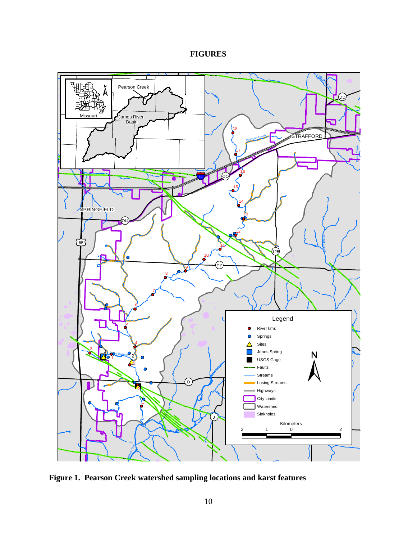# **FIGURES**

<span id="page-9-0"></span>

<span id="page-9-1"></span>**Figure 1. Pearson Creek watershed sampling locations and karst features**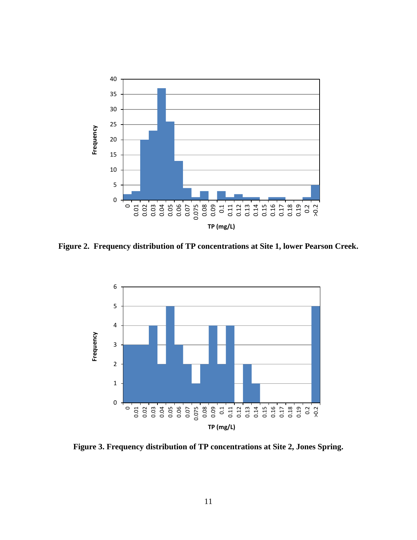

<span id="page-10-0"></span>**Figure 2. Frequency distribution of TP concentrations at Site 1, lower Pearson Creek.**



<span id="page-10-1"></span>**Figure 3. Frequency distribution of TP concentrations at Site 2, Jones Spring.**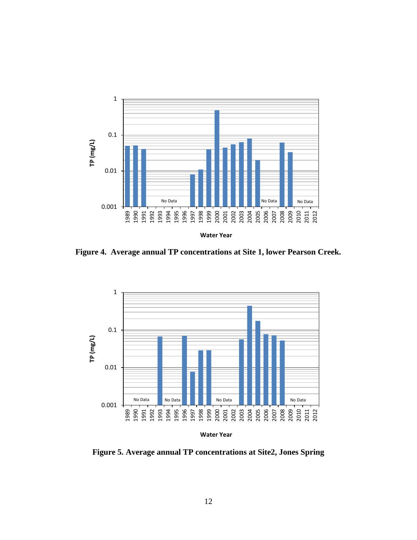

<span id="page-11-0"></span>**Figure 4. Average annual TP concentrations at Site 1, lower Pearson Creek.**



<span id="page-11-1"></span>**Figure 5. Average annual TP concentrations at Site2, Jones Spring**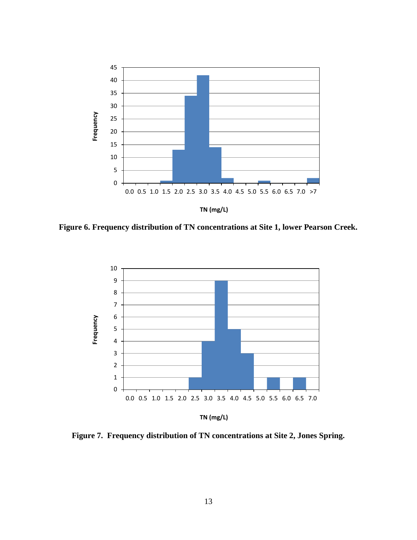

<span id="page-12-0"></span>**Figure 6. Frequency distribution of TN concentrations at Site 1, lower Pearson Creek.**



<span id="page-12-1"></span>**Figure 7. Frequency distribution of TN concentrations at Site 2, Jones Spring.**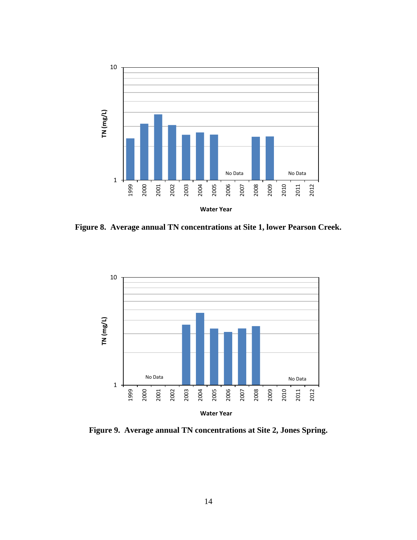

<span id="page-13-0"></span>**Figure 8. Average annual TN concentrations at Site 1, lower Pearson Creek.**



<span id="page-13-1"></span>**Figure 9. Average annual TN concentrations at Site 2, Jones Spring.**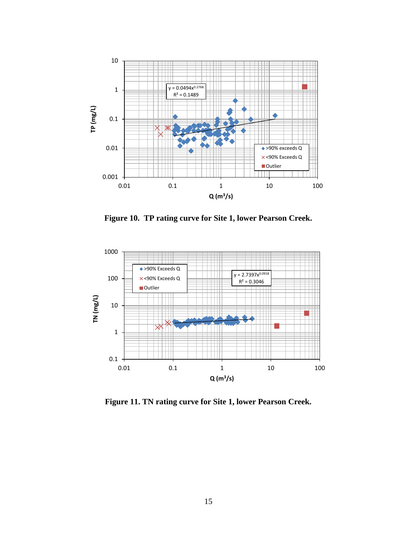

**Figure 10. TP rating curve for Site 1, lower Pearson Creek.**

<span id="page-14-0"></span>

<span id="page-14-1"></span>**Figure 11. TN rating curve for Site 1, lower Pearson Creek.**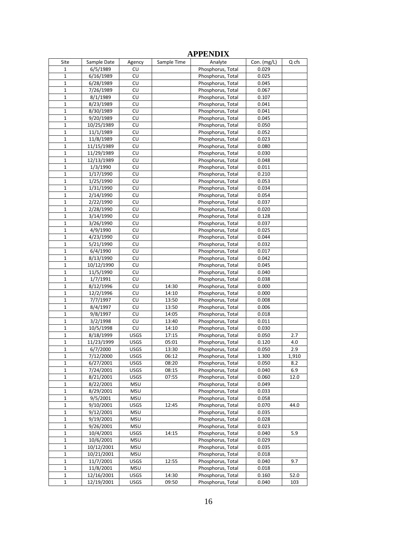<span id="page-15-0"></span>

| Site         | Sample Date | Agency      | Sample Time | Analyte                                | Con. $(mg/L)$  | Q cfs |
|--------------|-------------|-------------|-------------|----------------------------------------|----------------|-------|
| 1            | 6/5/1989    | CU          |             | Phosphorus, Total                      | 0.029          |       |
| $\mathbf{1}$ | 6/16/1989   | CU          |             | Phosphorus, Total                      | 0.025          |       |
| 1            | 6/28/1989   | CU          |             | Phosphorus, Total                      | 0.045          |       |
| $\mathbf{1}$ | 7/26/1989   | CU          |             | Phosphorus, Total                      | 0.067          |       |
| $\mathbf 1$  | 8/1/1989    | CU          |             | Phosphorus, Total                      | 0.107          |       |
| $\mathbf{1}$ | 8/23/1989   | CU          |             | Phosphorus, Total                      | 0.041          |       |
| 1            | 8/30/1989   | CU          |             | Phosphorus, Total                      | 0.041          |       |
| $\mathbf{1}$ | 9/20/1989   | CU          |             | Phosphorus, Total                      | 0.045          |       |
| $\mathbf{1}$ | 10/25/1989  | CU          |             | Phosphorus, Total                      | 0.050          |       |
| $\mathbf{1}$ | 11/1/1989   | CU          |             | Phosphorus, Total                      | 0.052          |       |
| $\mathbf{1}$ | 11/8/1989   | CU          |             | Phosphorus, Total                      | 0.023          |       |
| $\mathbf 1$  | 11/15/1989  | CU          |             | Phosphorus, Total                      | 0.080          |       |
| $\mathbf{1}$ | 11/29/1989  | CU          |             | Phosphorus, Total                      | 0.030          |       |
| $\mathbf 1$  | 12/13/1989  | CU          |             | Phosphorus, Total                      | 0.048          |       |
| $\mathbf{1}$ | 1/3/1990    | CU          |             | Phosphorus, Total                      | 0.011          |       |
| $\mathbf{1}$ | 1/17/1990   | CU          |             | Phosphorus, Total                      | 0.210          |       |
| $\mathbf{1}$ | 1/25/1990   | CU          |             | Phosphorus, Total                      | 0.053          |       |
| $\mathbf 1$  | 1/31/1990   | CU          |             | Phosphorus, Total                      | 0.034          |       |
| $\mathbf 1$  | 2/14/1990   | CU          |             | Phosphorus, Total                      | 0.054          |       |
| 1            | 2/22/1990   | CU          |             | Phosphorus, Total                      | 0.037          |       |
| $\mathbf 1$  | 2/28/1990   | CU          |             | Phosphorus, Total                      | 0.020          |       |
| $\mathbf 1$  | 3/14/1990   | CU          |             | Phosphorus, Total                      | 0.128          |       |
| $\mathbf{1}$ | 3/26/1990   | CU          |             | Phosphorus, Total                      | 0.037          |       |
| $\mathbf{1}$ | 4/9/1990    | CU          |             | Phosphorus, Total                      | 0.025          |       |
| $\mathbf 1$  | 4/23/1990   | CU          |             | Phosphorus, Total                      | 0.044          |       |
| $\mathbf 1$  | 5/21/1990   | CU          |             | Phosphorus, Total                      | 0.032          |       |
| 1            | 6/4/1990    | CU          |             | Phosphorus, Total                      | 0.017          |       |
| $\mathbf{1}$ | 8/13/1990   | CU          |             | Phosphorus, Total                      | 0.042          |       |
| $\mathbf{1}$ | 10/12/1990  | CU          |             | Phosphorus, Total                      | 0.045          |       |
| $\mathbf{1}$ | 11/5/1990   | CU          |             | Phosphorus, Total                      | 0.040          |       |
| 1            | 1/7/1991    | CU          |             | Phosphorus, Total                      | 0.038          |       |
| $\mathbf 1$  | 8/12/1996   | CU          | 14:30       | Phosphorus, Total                      | 0.000          |       |
| $\mathbf{1}$ | 12/2/1996   | CU          | 14:10       | Phosphorus, Total                      | 0.000          |       |
| $\mathbf 1$  | 7/7/1997    | CU          | 13:50       | Phosphorus, Total                      | 0.008          |       |
| $\mathbf{1}$ | 8/4/1997    | CU          | 13:50       | Phosphorus, Total                      | 0.006          |       |
| $\mathbf{1}$ | 9/8/1997    | CU          | 14:05       | Phosphorus, Total                      | 0.018          |       |
| $\mathbf{1}$ | 3/2/1998    | CU          | 13:40       | Phosphorus, Total                      | 0.011          |       |
| 1            | 10/5/1998   | CU          | 14:10       | Phosphorus, Total                      | 0.030          |       |
| $\mathbf 1$  | 8/18/1999   | <b>USGS</b> | 17:15       | Phosphorus, Total                      | 0.050          | 2.7   |
| $\mathbf 1$  | 11/23/1999  | <b>USGS</b> | 05:01       | Phosphorus, Total                      | 0.120          | 4.0   |
| 1            | 6/7/2000    | <b>USGS</b> | 13:30       | Phosphorus, Total                      | 0.050          | 2.9   |
| $\mathbf 1$  | 7/12/2000   | <b>USGS</b> | 06:12       | Phosphorus, Total                      | 1.300          | 1,910 |
| $\mathbf 1$  | 6/27/2001   | USGS        | 08:20       |                                        | 0.050          | 8.2   |
| $\mathbf 1$  | 7/24/2001   | USGS        | 08:15       | Phosphorus, Total<br>Phosphorus, Total | 0.040          | 6.9   |
| 1            | 8/21/2001   | USGS        | 07:55       | Phosphorus, Total                      | 0.060          | 12.0  |
| 1            | 8/22/2001   | MSU         |             | Phosphorus, Total                      | 0.049          |       |
| $\mathbf 1$  | 8/29/2001   | <b>MSU</b>  |             | Phosphorus, Total                      | 0.033          |       |
| 1            | 9/5/2001    | <b>MSU</b>  |             | Phosphorus, Total                      | 0.058          |       |
|              | 9/10/2001   |             |             | Phosphorus, Total                      |                |       |
| 1<br>$1\,$   | 9/12/2001   | USGS<br>MSU | 12:45       | Phosphorus, Total                      | 0.070<br>0.035 | 44.0  |
|              |             |             |             |                                        |                |       |
| $\mathbf 1$  | 9/19/2001   | MSU         |             | Phosphorus, Total<br>Phosphorus, Total | 0.028          |       |
| 1            | 9/26/2001   | MSU         |             |                                        | 0.023          |       |
| 1            | 10/4/2001   | USGS        | 14:15       | Phosphorus, Total<br>Phosphorus, Total | 0.040          | 5.9   |
| $\mathbf 1$  | 10/6/2001   | <b>MSU</b>  |             |                                        | 0.029          |       |
| 1            | 10/12/2001  | MSU         |             | Phosphorus, Total                      | 0.035          |       |
| 1            | 10/21/2001  | <b>MSU</b>  |             | Phosphorus, Total                      | 0.018          |       |
| $\mathbf 1$  | 11/7/2001   | USGS        | 12:55       | Phosphorus, Total                      | 0.040          | 9.7   |
| $\mathbf 1$  | 11/8/2001   | <b>MSU</b>  |             | Phosphorus, Total                      | 0.018          |       |
| 1            | 12/16/2001  | USGS        | 14:30       | Phosphorus, Total                      | 0.160          | 52.0  |
| $\mathbf{1}$ | 12/19/2001  | USGS        | 09:50       | Phosphorus, Total                      | 0.040          | 103   |

# **APPENDIX**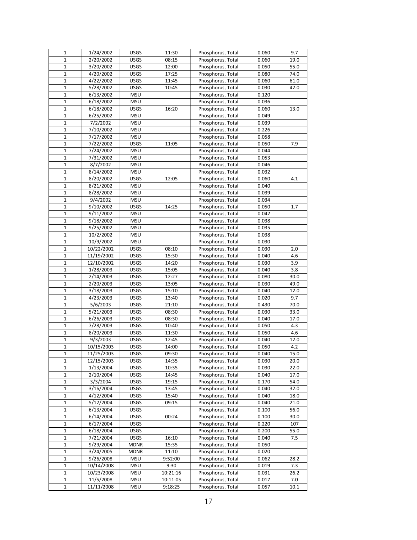| $\mathbf{1}$ | 1/24/2002  | <b>USGS</b> | 11:30    | Phosphorus, Total | 0.060 | 9.7  |
|--------------|------------|-------------|----------|-------------------|-------|------|
| $\mathbf{1}$ | 2/20/2002  | <b>USGS</b> | 08:15    | Phosphorus, Total | 0.060 | 19.0 |
| $\mathbf{1}$ | 3/20/2002  | <b>USGS</b> | 12:00    | Phosphorus, Total | 0.050 | 55.0 |
| $\mathbf{1}$ | 4/20/2002  | <b>USGS</b> | 17:25    | Phosphorus, Total | 0.080 | 74.0 |
| $\mathbf{1}$ | 4/22/2002  | <b>USGS</b> | 11:45    | Phosphorus, Total | 0.060 | 61.0 |
| $\mathbf{1}$ | 5/28/2002  | <b>USGS</b> | 10:45    | Phosphorus, Total | 0.030 | 42.0 |
| $\mathbf{1}$ | 6/13/2002  | <b>MSU</b>  |          | Phosphorus, Total | 0.120 |      |
| $\mathbf 1$  | 6/18/2002  | <b>MSU</b>  |          | Phosphorus, Total | 0.036 |      |
| $\mathbf 1$  | 6/18/2002  | USGS        | 16:20    | Phosphorus, Total | 0.060 | 13.0 |
| $\mathbf{1}$ | 6/25/2002  | <b>MSU</b>  |          | Phosphorus, Total | 0.049 |      |
| $\mathbf{1}$ | 7/2/2002   | <b>MSU</b>  |          | Phosphorus, Total | 0.039 |      |
| $\mathbf 1$  | 7/10/2002  | <b>MSU</b>  |          | Phosphorus, Total | 0.226 |      |
| $\mathbf{1}$ | 7/17/2002  | <b>MSU</b>  |          | Phosphorus, Total | 0.058 |      |
| 1            | 7/22/2002  | <b>USGS</b> | 11:05    | Phosphorus, Total | 0.050 | 7.9  |
| $\mathbf 1$  | 7/24/2002  | <b>MSU</b>  |          | Phosphorus, Total | 0.044 |      |
| $\mathbf 1$  | 7/31/2002  | <b>MSU</b>  |          | Phosphorus, Total | 0.053 |      |
| $\mathbf{1}$ | 8/7/2002   | <b>MSU</b>  |          | Phosphorus, Total | 0.046 |      |
| $\mathbf{1}$ | 8/14/2002  | <b>MSU</b>  |          | Phosphorus, Total | 0.032 |      |
| $\mathbf{1}$ | 8/20/2002  | <b>USGS</b> | 12:05    | Phosphorus, Total | 0.060 | 4.1  |
| $\mathbf{1}$ | 8/21/2002  | <b>MSU</b>  |          | Phosphorus, Total | 0.040 |      |
| $1\,$        | 8/28/2002  | <b>MSU</b>  |          | Phosphorus, Total | 0.039 |      |
| $\mathbf{1}$ | 9/4/2002   | <b>MSU</b>  |          | Phosphorus, Total | 0.034 |      |
| $\mathbf 1$  | 9/10/2002  | USGS        | 14:25    | Phosphorus, Total | 0.050 | 1.7  |
| $\mathbf{1}$ | 9/11/2002  | <b>MSU</b>  |          | Phosphorus, Total | 0.042 |      |
| $\mathbf{1}$ | 9/18/2002  | <b>MSU</b>  |          | Phosphorus, Total | 0.038 |      |
| $\mathbf{1}$ | 9/25/2002  | <b>MSU</b>  |          | Phosphorus, Total | 0.035 |      |
| $\mathbf{1}$ | 10/2/2002  | <b>MSU</b>  |          | Phosphorus, Total | 0.038 |      |
| $\mathbf 1$  | 10/9/2002  | <b>MSU</b>  |          | Phosphorus, Total | 0.030 |      |
| $\mathbf 1$  | 10/22/2002 | <b>USGS</b> | 08:10    | Phosphorus, Total | 0.030 | 2.0  |
| $1\,$        | 11/19/2002 | <b>USGS</b> | 15:30    | Phosphorus, Total | 0.040 | 4.6  |
| $\mathbf 1$  | 12/10/2002 | <b>USGS</b> | 14:20    | Phosphorus, Total | 0.030 | 3.9  |
| $1\,$        | 1/28/2003  | <b>USGS</b> | 15:05    | Phosphorus, Total | 0.040 | 3.8  |
| $\mathbf{1}$ | 2/14/2003  | <b>USGS</b> | 12:27    | Phosphorus, Total | 0.080 | 30.0 |
| $\mathbf{1}$ | 2/20/2003  | <b>USGS</b> | 13:05    | Phosphorus, Total | 0.030 | 49.0 |
| $\mathbf 1$  | 3/18/2003  | USGS        | 15:10    | Phosphorus, Total | 0.040 | 12.0 |
| $\mathbf 1$  | 4/23/2003  | <b>USGS</b> | 13:40    | Phosphorus, Total | 0.020 | 9.7  |
| $\mathbf{1}$ | 5/6/2003   | <b>USGS</b> | 21:10    | Phosphorus, Total | 0.430 | 70.0 |
| $\mathbf 1$  | 5/21/2003  | <b>USGS</b> | 08:30    | Phosphorus, Total | 0.030 | 33.0 |
| $1\,$        | 6/26/2003  | <b>USGS</b> | 08:30    | Phosphorus, Total | 0.040 | 17.0 |
| $\mathbf 1$  | 7/28/2003  | <b>USGS</b> | 10:40    | Phosphorus, Total | 0.050 | 4.3  |
| $\mathbf{1}$ | 8/20/2003  | USGS        | 11:30    | Phosphorus, Total | 0.050 | 4.6  |
| $1\,$        | 9/3/2003   | USGS        | 12:45    | Phosphorus, Total | 0.040 | 12.0 |
| $\mathbf 1$  | 10/15/2003 | <b>USGS</b> | 14:00    | Phosphorus, Total | 0.050 | 4.2  |
| $\mathbf{1}$ | 11/25/2003 | <b>USGS</b> | 09:30    | Phosphorus, Total | 0.040 | 15.0 |
| $\mathbf{1}$ | 12/15/2003 | <b>USGS</b> | 14:35    | Phosphorus, Total | 0.030 | 20.0 |
| 1            | 1/13/2004  | <b>USGS</b> | 10:35    | Phosphorus, Total | 0.030 | 22.0 |
| $\mathbf 1$  | 2/10/2004  | <b>USGS</b> | 14:45    | Phosphorus, Total | 0.040 | 17.0 |
| $\mathbf{1}$ | 3/3/2004   | USGS        | 19:15    | Phosphorus, Total | 0.170 | 54.0 |
| 1            | 3/16/2004  | <b>USGS</b> | 13:45    | Phosphorus, Total | 0.040 | 32.0 |
| $\mathbf 1$  | 4/12/2004  | <b>USGS</b> | 15:40    | Phosphorus, Total | 0.040 | 18.0 |
| 1            | 5/12/2004  | <b>USGS</b> | 09:15    | Phosphorus, Total | 0.040 | 21.0 |
| $\mathbf{1}$ | 6/13/2004  | <b>USGS</b> |          | Phosphorus, Total | 0.100 | 56.0 |
| $\mathbf 1$  | 6/14/2004  | <b>USGS</b> | 00:24    | Phosphorus, Total | 0.100 | 30.0 |
| $\mathbf 1$  | 6/17/2004  | <b>USGS</b> |          | Phosphorus, Total | 0.220 | 107  |
| $1\,$        | 6/18/2004  | <b>USGS</b> |          | Phosphorus, Total | 0.200 | 55.0 |
| $\mathbf 1$  | 7/21/2004  | USGS        | 16:10    | Phosphorus, Total | 0.040 | 7.5  |
| $\mathbf 1$  | 9/29/2004  | <b>MDNR</b> | 15:35    | Phosphorus, Total | 0.050 |      |
| 1            | 3/24/2005  | <b>MDNR</b> | 11:10    | Phosphorus, Total | 0.020 |      |
| 1            | 9/26/2008  | <b>MSU</b>  | 9:52:00  | Phosphorus, Total | 0.062 | 28.2 |
| $\mathbf{1}$ | 10/14/2008 | <b>MSU</b>  | 9:30     | Phosphorus, Total | 0.019 | 7.3  |
| $\mathbf 1$  | 10/23/2008 | <b>MSU</b>  | 10:21:16 | Phosphorus, Total | 0.031 | 26.2 |
| $\mathbf 1$  | 11/5/2008  | <b>MSU</b>  | 10:11:05 | Phosphorus, Total | 0.017 | 7.0  |
| 1            | 11/11/2008 | <b>MSU</b>  | 9:18:25  | Phosphorus, Total | 0.057 | 10.1 |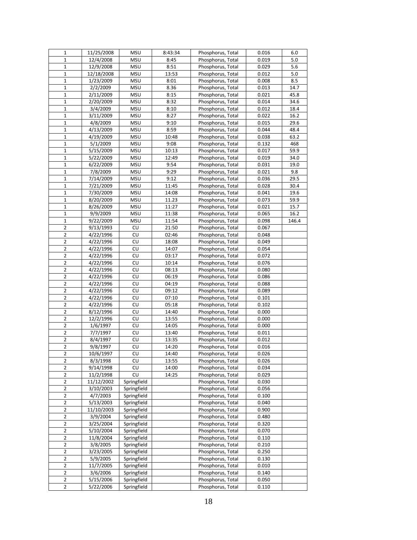| $\mathbf{1}$   | 11/25/2008 | <b>MSU</b>  | 8:43:34 | Phosphorus, Total | 0.016 | 6.0   |
|----------------|------------|-------------|---------|-------------------|-------|-------|
| $\mathbf 1$    | 12/4/2008  | <b>MSU</b>  | 8:45    | Phosphorus, Total | 0.019 | 5.0   |
| $\mathbf{1}$   | 12/9/2008  | <b>MSU</b>  | 8:51    | Phosphorus, Total | 0.029 | 5.6   |
| $1\,$          | 12/18/2008 | <b>MSU</b>  | 13:53   | Phosphorus, Total | 0.012 | 5.0   |
| $\mathbf 1$    | 1/23/2009  | <b>MSU</b>  | 8:01    | Phosphorus, Total | 0.008 | 8.5   |
| $\mathbf{1}$   | 2/2/2009   | <b>MSU</b>  | 8.36    | Phosphorus, Total | 0.013 | 14.7  |
| $\mathbf{1}$   | 2/11/2009  | <b>MSU</b>  | 8:15    | Phosphorus, Total | 0.021 | 45.8  |
| $\mathbf 1$    | 2/20/2009  | <b>MSU</b>  | 8:32    | Phosphorus, Total | 0.014 | 34.6  |
| $\mathbf 1$    | 3/4/2009   | <b>MSU</b>  | 8:10    | Phosphorus, Total | 0.012 | 18.4  |
| $\mathbf{1}$   | 3/11/2009  | <b>MSU</b>  | 8:27    | Phosphorus, Total | 0.022 | 16.2  |
| $\mathbf 1$    | 4/8/2009   | <b>MSU</b>  | 9:10    | Phosphorus, Total | 0.015 | 29.6  |
| $\mathbf 1$    | 4/13/2009  | <b>MSU</b>  | 8:59    | Phosphorus, Total | 0.044 | 48.4  |
| $1\,$          | 4/19/2009  | <b>MSU</b>  | 10:48   | Phosphorus, Total | 0.038 | 63.2  |
| $\mathbf{1}$   | 5/1/2009   | <b>MSU</b>  | 9:08    | Phosphorus, Total | 0.132 | 468   |
| $\mathbf 1$    | 5/15/2009  | <b>MSU</b>  | 10:13   | Phosphorus, Total | 0.017 | 59.9  |
| $\mathbf 1$    | 5/22/2009  | <b>MSU</b>  | 12:49   | Phosphorus, Total | 0.019 | 34.0  |
| $\mathbf{1}$   | 6/22/2009  | <b>MSU</b>  | 9:54    | Phosphorus, Total | 0.031 | 19.0  |
| $1\,$          | 7/8/2009   | <b>MSU</b>  | 9:29    | Phosphorus, Total | 0.021 | 9.8   |
| $\mathbf{1}$   | 7/14/2009  | <b>MSU</b>  | 9:12    | Phosphorus, Total | 0.036 | 29.5  |
| $\mathbf{1}$   | 7/21/2009  | <b>MSU</b>  | 11:45   | Phosphorus, Total | 0.028 | 30.4  |
| $1\,$          | 7/30/2009  | <b>MSU</b>  | 14:08   | Phosphorus, Total | 0.041 | 19.6  |
| $\mathbf 1$    | 8/20/2009  | <b>MSU</b>  | 11.23   | Phosphorus, Total | 0.073 | 59.9  |
| $\mathbf 1$    | 8/26/2009  | <b>MSU</b>  | 11:27   | Phosphorus, Total | 0.021 | 15.7  |
| $\mathbf{1}$   | 9/9/2009   | <b>MSU</b>  | 11:38   | Phosphorus, Total | 0.065 | 16.2  |
| $1\,$          | 9/22/2009  | <b>MSU</b>  | 11:54   | Phosphorus, Total | 0.098 | 146.4 |
| 2              | 9/13/1993  | CU          | 21:50   | Phosphorus, Total | 0.067 |       |
| $\mathbf 2$    | 4/22/1996  | CU          | 02:46   | Phosphorus, Total | 0.048 |       |
| $\mathbf 2$    | 4/22/1996  | CU          | 18:08   | Phosphorus, Total | 0.049 |       |
| $\overline{2}$ | 4/22/1996  | CU          | 14:07   | Phosphorus, Total | 0.054 |       |
| $\overline{2}$ | 4/22/1996  | CU          | 03:17   | Phosphorus, Total | 0.072 |       |
| $\overline{2}$ | 4/22/1996  | CU          | 10:14   | Phosphorus, Total | 0.076 |       |
| $\overline{2}$ | 4/22/1996  | CU          | 08:13   | Phosphorus, Total | 0.080 |       |
| 2              | 4/22/1996  | CU          | 06:19   | Phosphorus, Total | 0.086 |       |
| $\mathbf 2$    | 4/22/1996  | CU          | 04:19   | Phosphorus, Total | 0.088 |       |
| $\overline{2}$ | 4/22/1996  | CU          | 09:12   | Phosphorus, Total | 0.089 |       |
| $\overline{2}$ | 4/22/1996  | CU          | 07:10   | Phosphorus, Total | 0.101 |       |
| $\overline{2}$ | 4/22/1996  | CU          | 05:18   | Phosphorus, Total | 0.102 |       |
| 2              | 8/12/1996  | CU          | 14:40   | Phosphorus, Total | 0.000 |       |
| $\overline{2}$ | 12/2/1996  | CU          | 13:55   | Phosphorus, Total | 0.000 |       |
| $\overline{2}$ | 1/6/1997   | CU          | 14:05   | Phosphorus, Total | 0.000 |       |
| $\mathbf 2$    | 7/7/1997   | CU          | 13:40   | Phosphorus, Total | 0.011 |       |
| $\overline{2}$ | 8/4/1997   | CU          | 13:35   | Phosphorus, Total | 0.012 |       |
| $\overline{2}$ | 9/8/1997   | CU          | 14:20   | Phosphorus, Total | 0.016 |       |
| $\overline{2}$ | 10/6/1997  | CU          | 14:40   | Phosphorus, Total | 0.026 |       |
| 2              | 8/3/1998   | CU          | 13:55   | Phosphorus, Total | 0.026 |       |
| 2              | 9/14/1998  | CU          | 14:00   | Phosphorus, Total | 0.034 |       |
| $\mathbf 2$    | 11/2/1998  | CU          | 14:25   | Phosphorus, Total | 0.029 |       |
| $\overline{2}$ | 11/12/2002 | Springfield |         | Phosphorus, Total | 0.030 |       |
| 2              | 3/10/2003  | Springfield |         | Phosphorus, Total | 0.056 |       |
| $\overline{2}$ | 4/7/2003   | Springfield |         | Phosphorus, Total | 0.100 |       |
| $\overline{2}$ | 5/13/2003  | Springfield |         | Phosphorus, Total | 0.040 |       |
| 2              | 11/10/2003 | Springfield |         | Phosphorus, Total | 0.900 |       |
| $\overline{2}$ | 3/9/2004   | Springfield |         | Phosphorus, Total | 0.480 |       |
| $\mathbf 2$    | 3/25/2004  | Springfield |         | Phosphorus, Total | 0.320 |       |
| 2              | 5/10/2004  | Springfield |         | Phosphorus, Total | 0.070 |       |
| 2              | 11/8/2004  | Springfield |         | Phosphorus, Total | 0.110 |       |
| $\mathbf 2$    | 3/8/2005   | Springfield |         | Phosphorus, Total | 0.210 |       |
| $\overline{2}$ | 3/23/2005  | Springfield |         | Phosphorus, Total | 0.250 |       |
| 2              | 5/9/2005   | Springfield |         | Phosphorus, Total | 0.130 |       |
| $\overline{2}$ | 11/7/2005  | Springfield |         | Phosphorus, Total | 0.010 |       |
| $\overline{2}$ | 3/6/2006   | Springfield |         | Phosphorus, Total | 0.140 |       |
| 2              | 5/15/2006  | Springfield |         | Phosphorus, Total | 0.050 |       |
| $\overline{2}$ | 5/22/2006  | Springfield |         | Phosphorus, Total | 0.110 |       |
|                |            |             |         |                   |       |       |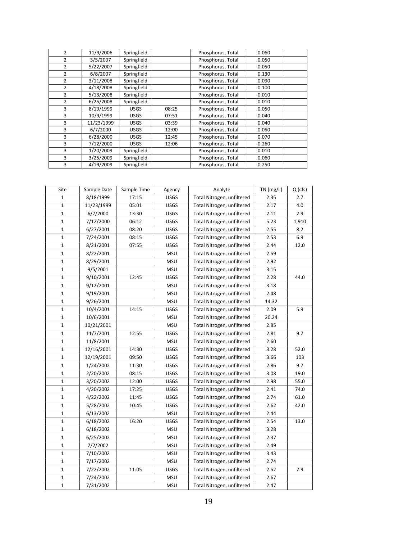| $\overline{2}$ | 11/9/2006  | Springfield |       | Phosphorus, Total | 0.060 |  |
|----------------|------------|-------------|-------|-------------------|-------|--|
| $\overline{2}$ | 3/5/2007   | Springfield |       | Phosphorus, Total | 0.050 |  |
| $\overline{2}$ | 5/22/2007  | Springfield |       | Phosphorus, Total | 0.050 |  |
| $\overline{2}$ | 6/8/2007   | Springfield |       | Phosphorus, Total | 0.130 |  |
| $\overline{2}$ | 3/11/2008  | Springfield |       | Phosphorus, Total | 0.090 |  |
| 2              | 4/18/2008  | Springfield |       | Phosphorus, Total | 0.100 |  |
| $\overline{2}$ | 5/13/2008  | Springfield |       | Phosphorus, Total | 0.010 |  |
| $\overline{2}$ | 6/25/2008  | Springfield |       | Phosphorus, Total | 0.010 |  |
| 3              | 8/19/1999  | <b>USGS</b> | 08:25 | Phosphorus, Total | 0.050 |  |
| 3              | 10/9/1999  | <b>USGS</b> | 07:51 | Phosphorus, Total | 0.040 |  |
| 3              | 11/23/1999 | <b>USGS</b> | 03:39 | Phosphorus, Total | 0.040 |  |
| 3              | 6/7/2000   | <b>USGS</b> | 12:00 | Phosphorus, Total | 0.050 |  |
| 3              | 6/28/2000  | <b>USGS</b> | 12:45 | Phosphorus, Total | 0.070 |  |
| 3              | 7/12/2000  | <b>USGS</b> | 12:06 | Phosphorus, Total | 0.260 |  |
| 3              | 1/20/2009  | Springfield |       | Phosphorus, Total | 0.010 |  |
| 3              | 3/25/2009  | Springfield |       | Phosphorus, Total | 0.060 |  |
| 3              | 4/19/2009  | Springfield |       | Phosphorus, Total | 0.250 |  |

| Site         | Sample Date | Sample Time | Agency      | Analyte                    | $\overline{T}N$ (mg/L) | Q(crs) |
|--------------|-------------|-------------|-------------|----------------------------|------------------------|--------|
| $\mathbf{1}$ | 8/18/1999   | 17:15       | <b>USGS</b> | Total Nitrogen, unfiltered | 2.35                   | 2.7    |
| $\mathbf{1}$ | 11/23/1999  | 05:01       | <b>USGS</b> | Total Nitrogen, unfiltered | 2.17                   | 4.0    |
| $\mathbf{1}$ | 6/7/2000    | 13:30       | <b>USGS</b> | Total Nitrogen, unfiltered | 2.11                   | 2.9    |
| $\mathbf{1}$ | 7/12/2000   | 06:12       | <b>USGS</b> | Total Nitrogen, unfiltered | 5.23                   | 1,910  |
| $\mathbf{1}$ | 6/27/2001   | 08:20       | <b>USGS</b> | Total Nitrogen, unfiltered | 2.55                   | 8.2    |
| $\mathbf 1$  | 7/24/2001   | 08:15       | <b>USGS</b> | Total Nitrogen, unfiltered | 2.53                   | 6.9    |
| $\mathbf{1}$ | 8/21/2001   | 07:55       | <b>USGS</b> | Total Nitrogen, unfiltered | 2.44                   | 12.0   |
| $\mathbf 1$  | 8/22/2001   |             | <b>MSU</b>  | Total Nitrogen, unfiltered | 2.59                   |        |
| $\mathbf 1$  | 8/29/2001   |             | <b>MSU</b>  | Total Nitrogen, unfiltered | 2.92                   |        |
| $\mathbf 1$  | 9/5/2001    |             | <b>MSU</b>  | Total Nitrogen, unfiltered | 3.15                   |        |
| $\mathbf 1$  | 9/10/2001   | 12:45       | USGS        | Total Nitrogen, unfiltered | 2.28                   | 44.0   |
| $\mathbf 1$  | 9/12/2001   |             | <b>MSU</b>  | Total Nitrogen, unfiltered | 3.18                   |        |
| $\mathbf{1}$ | 9/19/2001   |             | <b>MSU</b>  | Total Nitrogen, unfiltered | 2.48                   |        |
| $\mathbf 1$  | 9/26/2001   |             | <b>MSU</b>  | Total Nitrogen, unfiltered | 14.32                  |        |
| $\mathbf{1}$ | 10/4/2001   | 14:15       | USGS        | Total Nitrogen, unfiltered | 2.09                   | 5.9    |
| $\mathbf{1}$ | 10/6/2001   |             | <b>MSU</b>  | Total Nitrogen, unfiltered | 20.24                  |        |
| $\mathbf{1}$ | 10/21/2001  |             | <b>MSU</b>  | Total Nitrogen, unfiltered | 2.85                   |        |
| 1            | 11/7/2001   | 12:55       | <b>USGS</b> | Total Nitrogen, unfiltered | 2.81                   | 9.7    |
| $\mathbf{1}$ | 11/8/2001   |             | <b>MSU</b>  | Total Nitrogen, unfiltered | 2.60                   |        |
| $\mathbf 1$  | 12/16/2001  | 14:30       | USGS        | Total Nitrogen, unfiltered | 3.28                   | 52.0   |
| $\mathbf 1$  | 12/19/2001  | 09:50       | USGS        | Total Nitrogen, unfiltered | 3.66                   | 103    |
| $\mathbf 1$  | 1/24/2002   | 11:30       | USGS        | Total Nitrogen, unfiltered | 2.86                   | 9.7    |
| $\mathbf 1$  | 2/20/2002   | 08:15       | <b>USGS</b> | Total Nitrogen, unfiltered | 3.08                   | 19.0   |
| $\mathbf{1}$ | 3/20/2002   | 12:00       | <b>USGS</b> | Total Nitrogen, unfiltered | 2.98                   | 55.0   |
| $\mathbf{1}$ | 4/20/2002   | 17:25       | USGS        | Total Nitrogen, unfiltered | 2.41                   | 74.0   |
| $\mathbf{1}$ | 4/22/2002   | 11:45       | <b>USGS</b> | Total Nitrogen, unfiltered | 2.74                   | 61.0   |
| $\mathbf{1}$ | 5/28/2002   | 10:45       | <b>USGS</b> | Total Nitrogen, unfiltered | 2.62                   | 42.0   |
| $\mathbf 1$  | 6/13/2002   |             | <b>MSU</b>  | Total Nitrogen, unfiltered | 2.44                   |        |
| $\mathbf 1$  | 6/18/2002   | 16:20       | <b>USGS</b> | Total Nitrogen, unfiltered | 2.54                   | 13.0   |
| $\mathbf{1}$ | 6/18/2002   |             | <b>MSU</b>  | Total Nitrogen, unfiltered | 3.28                   |        |
| 1            | 6/25/2002   |             | <b>MSU</b>  | Total Nitrogen, unfiltered | 2.37                   |        |
| 1            | 7/2/2002    |             | <b>MSU</b>  | Total Nitrogen, unfiltered | 2.49                   |        |
| $\mathbf 1$  | 7/10/2002   |             | <b>MSU</b>  | Total Nitrogen, unfiltered | 3.43                   |        |
| 1            | 7/17/2002   |             | <b>MSU</b>  | Total Nitrogen, unfiltered | 2.74                   |        |
| $\mathbf 1$  | 7/22/2002   | 11:05       | USGS        | Total Nitrogen, unfiltered | 2.52                   | 7.9    |
| $\mathbf 1$  | 7/24/2002   |             | <b>MSU</b>  | Total Nitrogen, unfiltered | 2.67                   |        |
| 1            | 7/31/2002   |             | <b>MSU</b>  | Total Nitrogen, unfiltered | 2.47                   |        |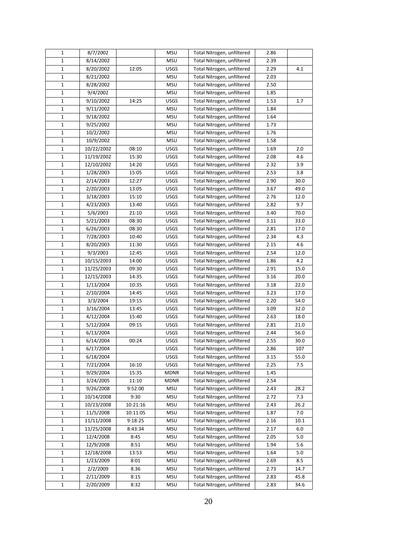| 1           | 8/7/2002            |          | <b>MSU</b>  | Total Nitrogen, unfiltered | 2.86 |      |
|-------------|---------------------|----------|-------------|----------------------------|------|------|
| 1           | 8/14/2002           |          | <b>MSU</b>  | Total Nitrogen, unfiltered | 2.39 |      |
| 1           | 8/20/2002           | 12:05    | <b>USGS</b> | Total Nitrogen, unfiltered | 2.29 | 4.1  |
| $\mathbf 1$ | 8/21/2002           |          | <b>MSU</b>  | Total Nitrogen, unfiltered | 2.03 |      |
| 1           | 8/28/2002           |          | <b>MSU</b>  | Total Nitrogen, unfiltered | 2.50 |      |
| 1           | 9/4/2002            |          | <b>MSU</b>  | Total Nitrogen, unfiltered | 1.85 |      |
| 1           | 9/10/2002           | 14:25    | USGS        | Total Nitrogen, unfiltered | 1.53 | 1.7  |
| $\mathbf 1$ | 9/11/2002           |          | <b>MSU</b>  | Total Nitrogen, unfiltered | 1.84 |      |
| 1           | 9/18/2002           |          | <b>MSU</b>  | Total Nitrogen, unfiltered | 1.64 |      |
| 1           | 9/25/2002           |          | <b>MSU</b>  | Total Nitrogen, unfiltered | 1.73 |      |
| $\mathbf 1$ | 10/2/2002           |          | <b>MSU</b>  | Total Nitrogen, unfiltered | 1.76 |      |
| 1           | $\frac{10}{9/2002}$ |          | <b>MSU</b>  | Total Nitrogen, unfiltered | 1.58 |      |
| 1           | 10/22/2002          | 08:10    | USGS        | Total Nitrogen, unfiltered | 1.69 | 2.0  |
| 1           | 11/19/2002          | 15:30    | <b>USGS</b> | Total Nitrogen, unfiltered | 2.08 | 4.6  |
| 1           | 12/10/2002          | 14:20    | <b>USGS</b> | Total Nitrogen, unfiltered | 2.32 | 3.9  |
| 1           | 1/28/2003           | 15:05    | USGS        | Total Nitrogen, unfiltered | 2.53 | 3.8  |
| 1           | 2/14/2003           | 12:27    | USGS        | Total Nitrogen, unfiltered | 2.90 | 30.0 |
| 1           | 2/20/2003           | 13:05    | USGS        | Total Nitrogen, unfiltered | 3.67 | 49.0 |
| $\mathbf 1$ | 3/18/2003           | 15:10    | USGS        | Total Nitrogen, unfiltered | 2.76 | 12.0 |
| 1           | 4/23/2003           | 13:40    | <b>USGS</b> | Total Nitrogen, unfiltered | 2.82 | 9.7  |
| $\mathbf 1$ | 5/6/2003            | 21:10    | USGS        | Total Nitrogen, unfiltered | 3.40 | 70.0 |
| 1           | 5/21/2003           | 08:30    | USGS        | Total Nitrogen, unfiltered | 3.11 | 33.0 |
| 1           | 6/26/2003           | 08:30    | USGS        | Total Nitrogen, unfiltered | 2.81 | 17.0 |
| 1           | 7/28/2003           | 10:40    | <b>USGS</b> | Total Nitrogen, unfiltered | 2.34 | 4.3  |
| 1           | 8/20/2003           | 11:30    | <b>USGS</b> | Total Nitrogen, unfiltered | 2.15 | 4.6  |
| 1           | 9/3/2003            | 12:45    | <b>USGS</b> | Total Nitrogen, unfiltered | 2.54 | 12.0 |
| 1           | 10/15/2003          | 14:00    | <b>USGS</b> | Total Nitrogen, unfiltered | 1.86 | 4.2  |
| 1           | 11/25/2003          | 09:30    | USGS        | Total Nitrogen, unfiltered | 2.91 | 15.0 |
| 1           | 12/15/2003          | 14:35    | <b>USGS</b> | Total Nitrogen, unfiltered | 3.16 | 20.0 |
| $\mathbf 1$ | 1/13/2004           | 10:35    | <b>USGS</b> | Total Nitrogen, unfiltered | 3.18 | 22.0 |
| 1           | 2/10/2004           | 14:45    | USGS        | Total Nitrogen, unfiltered | 3.23 | 17.0 |
| 1           | 3/3/2004            | 19:15    | USGS        | Total Nitrogen, unfiltered | 2.20 | 54.0 |
| 1           | 3/16/2004           | 13:45    | USGS        | Total Nitrogen, unfiltered | 3.09 | 32.0 |
| 1           | 4/12/2004           | 15:40    | USGS        | Total Nitrogen, unfiltered | 2.63 | 18.0 |
| 1           | 5/12/2004           | 09:15    | USGS        | Total Nitrogen, unfiltered | 2.81 | 21.0 |
| 1           | 6/13/2004           |          | USGS        | Total Nitrogen, unfiltered | 2.44 | 56.0 |
| 1           | 6/14/2004           | 00:24    | USGS        | Total Nitrogen, unfiltered | 2.55 | 30.0 |
| $\mathbf 1$ | 6/17/2004           |          | USGS        | Total Nitrogen, unfiltered | 2.86 | 107  |
| 1           | 6/18/2004           |          | USGS        | Total Nitrogen, unfiltered | 3.15 | 55.0 |
| 1           | 7/21/2004           | 16:10    | USGS        | Total Nitrogen, unfiltered | 2.25 | 7.5  |
| 1           | 9/29/2004           | 15:35    | <b>MDNR</b> | Total Nitrogen, unfiltered | 1.45 |      |
| 1           | 3/24/2005           | 11:10    | <b>MDNR</b> | Total Nitrogen, unfiltered | 2.54 |      |
| 1           | 9/26/2008           | 9:52:00  | <b>MSU</b>  | Total Nitrogen, unfiltered | 2.43 | 28.2 |
| 1           | 10/14/2008          | 9:30     | <b>MSU</b>  | Total Nitrogen, unfiltered | 2.72 | 7.3  |
| 1           | 10/23/2008          | 10:21:16 | <b>MSU</b>  | Total Nitrogen, unfiltered | 2.43 | 26.2 |
| 1           | 11/5/2008           | 10:11:05 | <b>MSU</b>  | Total Nitrogen, unfiltered | 1.87 | 7.0  |
| 1           | 11/11/2008          | 9:18:25  | <b>MSU</b>  | Total Nitrogen, unfiltered | 2.16 | 10.1 |
| 1           | 11/25/2008          | 8:43:34  | <b>MSU</b>  | Total Nitrogen, unfiltered | 2.17 | 6.0  |
| 1           | 12/4/2008           | 8:45     | <b>MSU</b>  | Total Nitrogen, unfiltered | 2.05 | 5.0  |
| 1           | 12/9/2008           | 8:51     | <b>MSU</b>  | Total Nitrogen, unfiltered | 1.94 | 5.6  |
| 1           | 12/18/2008          | 13:53    | MSU         | Total Nitrogen, unfiltered | 1.64 | 5.0  |
| 1           | 1/23/2009           | 8:01     | MSU         | Total Nitrogen, unfiltered | 2.69 | 8.5  |
| 1           | 2/2/2009            | 8.36     | <b>MSU</b>  | Total Nitrogen, unfiltered | 2.73 | 14.7 |
| 1           | 2/11/2009           | 8:15     | <b>MSU</b>  | Total Nitrogen, unfiltered | 2.83 | 45.8 |
| $\mathbf 1$ | 2/20/2009           | 8:32     | <b>MSU</b>  | Total Nitrogen, unfiltered | 2.83 | 34.6 |